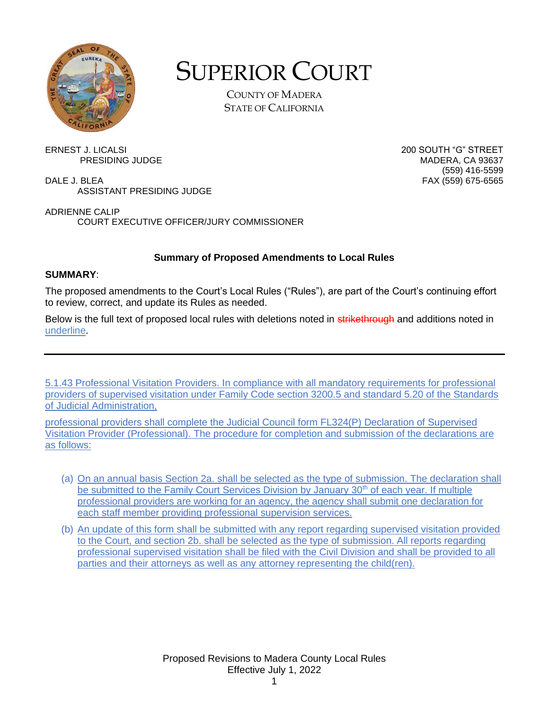

## SUPERIOR COURT

COUNTY OF MADERA STATE OF CALIFORNIA

(559) 416-5599

ERNEST J. LICALSI 200 SOUTH "G" STREET PRESIDING JUDGE

DALE J. BLEA FAX (559) 675-6565 ASSISTANT PRESIDING JUDGE

ADRIENNE CALIP COURT EXECUTIVE OFFICER/JURY COMMISSIONER

## **Summary of Proposed Amendments to Local Rules**

## **SUMMARY**:

The proposed amendments to the Court's Local Rules ("Rules"), are part of the Court's continuing effort to review, correct, and update its Rules as needed.

Below is the full text of proposed local rules with deletions noted in **strikethrough** and additions noted in underline.

5.1.43 Professional Visitation Providers. In compliance with all mandatory requirements for professional providers of supervised visitation under Family Code section 3200.5 and standard 5.20 of the Standards of Judicial Administration,

professional providers shall complete the Judicial Council form FL324(P) Declaration of Supervised Visitation Provider (Professional). The procedure for completion and submission of the declarations are as follows:

- (a) On an annual basis Section 2a. shall be selected as the type of submission. The declaration shall be submitted to the Family Court Services Division by January 30<sup>th</sup> of each year. If multiple professional providers are working for an agency, the agency shall submit one declaration for each staff member providing professional supervision services.
- (b) An update of this form shall be submitted with any report regarding supervised visitation provided to the Court, and section 2b. shall be selected as the type of submission. All reports regarding professional supervised visitation shall be filed with the Civil Division and shall be provided to all parties and their attorneys as well as any attorney representing the child(ren).